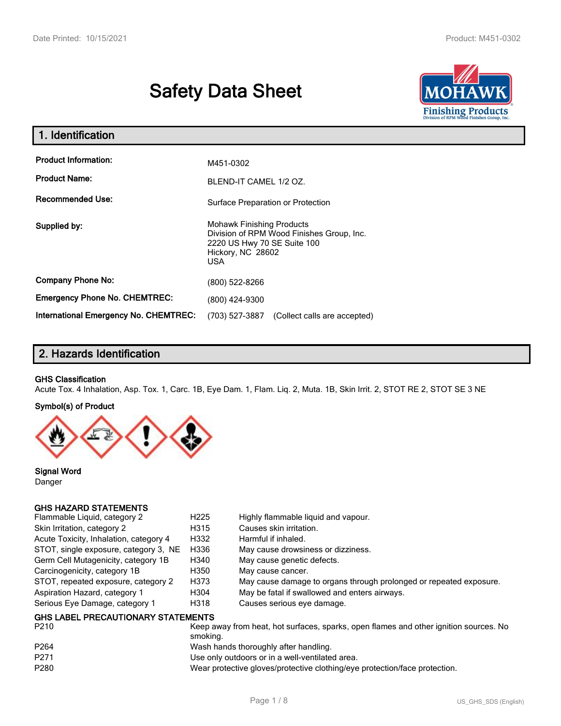# **Safety Data Sheet**



| 1. Identification                            |                                                                                                                                          |  |
|----------------------------------------------|------------------------------------------------------------------------------------------------------------------------------------------|--|
| <b>Product Information:</b>                  | M451-0302                                                                                                                                |  |
| <b>Product Name:</b>                         | BLEND-IT CAMEL 1/2 OZ.                                                                                                                   |  |
| <b>Recommended Use:</b>                      | Surface Preparation or Protection                                                                                                        |  |
| Supplied by:                                 | <b>Mohawk Finishing Products</b><br>Division of RPM Wood Finishes Group, Inc.<br>2220 US Hwy 70 SE Suite 100<br>Hickory, NC 28602<br>USA |  |
| <b>Company Phone No:</b>                     | (800) 522-8266                                                                                                                           |  |
| <b>Emergency Phone No. CHEMTREC:</b>         | (800) 424-9300                                                                                                                           |  |
| <b>International Emergency No. CHEMTREC:</b> | (703) 527-3887<br>(Collect calls are accepted)                                                                                           |  |

# **2. Hazards Identification**

#### **GHS Classification**

Acute Tox. 4 Inhalation, Asp. Tox. 1, Carc. 1B, Eye Dam. 1, Flam. Liq. 2, Muta. 1B, Skin Irrit. 2, STOT RE 2, STOT SE 3 NE

#### **Symbol(s) of Product**



**Signal Word** Danger

## **GHS HAZARD STATEMENTS**

| Flammable Liquid, category 2              | H <sub>225</sub> | Highly flammable liguid and vapour.                                                   |
|-------------------------------------------|------------------|---------------------------------------------------------------------------------------|
| Skin Irritation, category 2               | H315             | Causes skin irritation.                                                               |
| Acute Toxicity, Inhalation, category 4    | H332             | Harmful if inhaled.                                                                   |
| STOT, single exposure, category 3, NE     | H336             | May cause drowsiness or dizziness.                                                    |
| Germ Cell Mutagenicity, category 1B       | H340             | May cause genetic defects.                                                            |
| Carcinogenicity, category 1B              | H350             | May cause cancer.                                                                     |
| STOT, repeated exposure, category 2       | H373             | May cause damage to organs through prolonged or repeated exposure.                    |
| Aspiration Hazard, category 1             | H304             | May be fatal if swallowed and enters airways.                                         |
| Serious Eye Damage, category 1            | H318             | Causes serious eye damage.                                                            |
| <b>GHS LABEL PRECAUTIONARY STATEMENTS</b> |                  |                                                                                       |
| P <sub>210</sub>                          |                  | Keep away from heat, hot surfaces, sparks, open flames and other junition sources. No |

| <b>FZIU</b>      | Reep away from Heat, Hot Surfaces, Sparks, Open Hames and Other Ignition Sources. No<br>smoking. |
|------------------|--------------------------------------------------------------------------------------------------|
| P <sub>264</sub> | Wash hands thoroughly after handling.                                                            |
| P <sub>271</sub> | Use only outdoors or in a well-ventilated area.                                                  |
| P280             | Wear protective gloves/protective clothing/eye protection/face protection.                       |
|                  |                                                                                                  |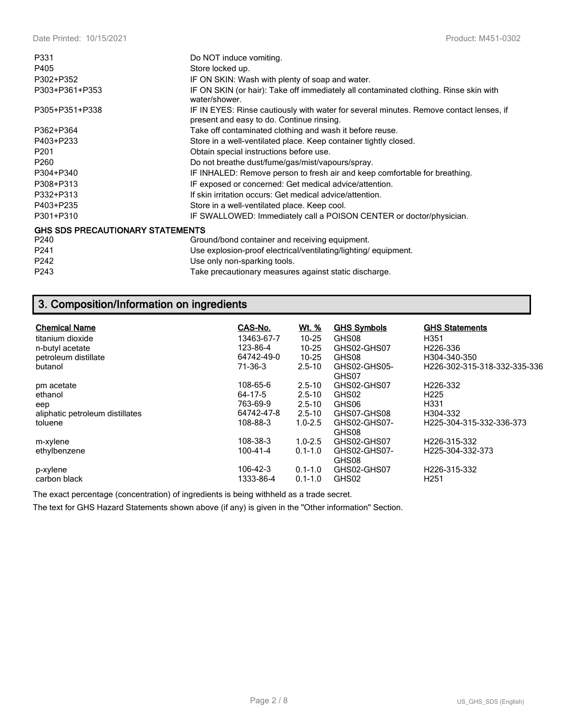| P331                                    | Do NOT induce vomiting.                                                                                                             |
|-----------------------------------------|-------------------------------------------------------------------------------------------------------------------------------------|
| P405                                    | Store locked up.                                                                                                                    |
| P302+P352                               | IF ON SKIN: Wash with plenty of soap and water.                                                                                     |
| P303+P361+P353                          | IF ON SKIN (or hair): Take off immediately all contaminated clothing. Rinse skin with<br>water/shower.                              |
| P305+P351+P338                          | IF IN EYES: Rinse cautiously with water for several minutes. Remove contact lenses, if<br>present and easy to do. Continue rinsing. |
| P362+P364                               | Take off contaminated clothing and wash it before reuse.                                                                            |
| P403+P233                               | Store in a well-ventilated place. Keep container tightly closed.                                                                    |
| P <sub>201</sub>                        | Obtain special instructions before use.                                                                                             |
| P260                                    | Do not breathe dust/fume/gas/mist/vapours/spray.                                                                                    |
| P304+P340                               | IF INHALED: Remove person to fresh air and keep comfortable for breathing.                                                          |
| P308+P313                               | IF exposed or concerned: Get medical advice/attention.                                                                              |
| P332+P313                               | If skin irritation occurs: Get medical advice/attention.                                                                            |
| P403+P235                               | Store in a well-ventilated place. Keep cool.                                                                                        |
| P301+P310                               | IF SWALLOWED: Immediately call a POISON CENTER or doctor/physician.                                                                 |
| <b>GHS SDS PRECAUTIONARY STATEMENTS</b> |                                                                                                                                     |
| P240                                    | Ground/bond container and receiving equipment.                                                                                      |
| P241                                    | Use explosion-proof electrical/ventilating/lighting/equipment.                                                                      |
| P242                                    | Use only non-sparking tools.                                                                                                        |
| P243                                    | Take precautionary measures against static discharge.                                                                               |

# **3. Composition/Information on ingredients**

| <b>Chemical Name</b><br>titanium dioxide<br>n-butyl acetate<br>petroleum distillate<br>butanol | CAS-No.<br>13463-67-7<br>123-86-4<br>64742-49-0<br>71-36-3 | <u>Wt. %</u><br>$10 - 25$<br>$10 - 25$<br>$10 - 25$<br>$2.5 - 10$   | <b>GHS Symbols</b><br>GHS08<br>GHS02-GHS07<br>GHS08<br>GHS02-GHS05-<br>GHS07 | <b>GHS Statements</b><br>H351<br>H <sub>226</sub> -336<br>H304-340-350<br>H226-302-315-318-332-335-336 |
|------------------------------------------------------------------------------------------------|------------------------------------------------------------|---------------------------------------------------------------------|------------------------------------------------------------------------------|--------------------------------------------------------------------------------------------------------|
| pm acetate<br>ethanol<br>eep<br>aliphatic petroleum distillates<br>toluene                     | 108-65-6<br>64-17-5<br>763-69-9<br>64742-47-8<br>108-88-3  | $2.5 - 10$<br>$2.5 - 10$<br>$2.5 - 10$<br>$2.5 - 10$<br>$1.0 - 2.5$ | GHS02-GHS07<br>GHS02<br>GHS06<br>GHS07-GHS08<br>GHS02-GHS07-<br>GHS08        | H <sub>226</sub> -332<br>H <sub>225</sub><br>H <sub>331</sub><br>H304-332<br>H225-304-315-332-336-373  |
| m-xylene<br>ethylbenzene<br>p-xylene<br>carbon black                                           | 108-38-3<br>100-41-4<br>106-42-3<br>1333-86-4              | $1.0 - 2.5$<br>$0.1 - 1.0$<br>$0.1 - 1.0$<br>$0.1 - 1.0$            | GHS02-GHS07<br>GHS02-GHS07-<br>GHS08<br>GHS02-GHS07<br>GHS02                 | H226-315-332<br>H225-304-332-373<br>H226-315-332<br>H <sub>251</sub>                                   |

The exact percentage (concentration) of ingredients is being withheld as a trade secret.

The text for GHS Hazard Statements shown above (if any) is given in the "Other information" Section.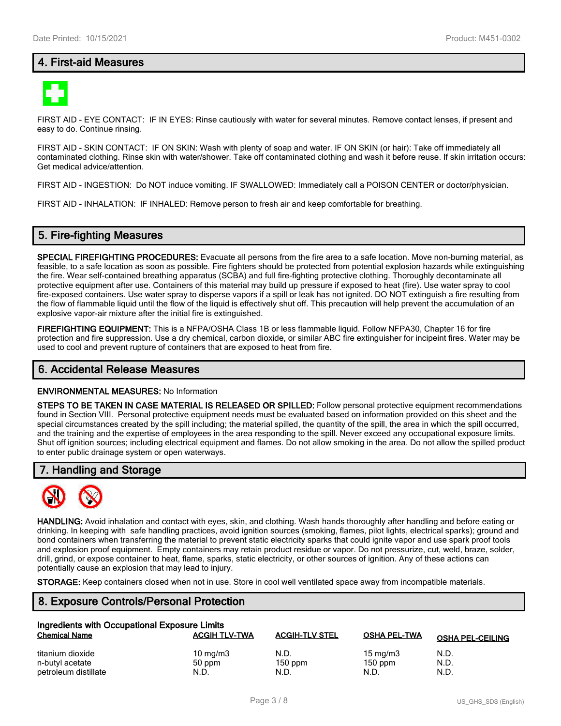## **4. First-aid Measures**



FIRST AID - EYE CONTACT: IF IN EYES: Rinse cautiously with water for several minutes. Remove contact lenses, if present and easy to do. Continue rinsing.

FIRST AID - SKIN CONTACT: IF ON SKIN: Wash with plenty of soap and water. IF ON SKIN (or hair): Take off immediately all contaminated clothing. Rinse skin with water/shower. Take off contaminated clothing and wash it before reuse. If skin irritation occurs: Get medical advice/attention.

FIRST AID - INGESTION: Do NOT induce vomiting. IF SWALLOWED: Immediately call a POISON CENTER or doctor/physician.

FIRST AID - INHALATION: IF INHALED: Remove person to fresh air and keep comfortable for breathing.

## **5. Fire-fighting Measures**

**SPECIAL FIREFIGHTING PROCEDURES:** Evacuate all persons from the fire area to a safe location. Move non-burning material, as feasible, to a safe location as soon as possible. Fire fighters should be protected from potential explosion hazards while extinguishing the fire. Wear self-contained breathing apparatus (SCBA) and full fire-fighting protective clothing. Thoroughly decontaminate all protective equipment after use. Containers of this material may build up pressure if exposed to heat (fire). Use water spray to cool fire-exposed containers. Use water spray to disperse vapors if a spill or leak has not ignited. DO NOT extinguish a fire resulting from the flow of flammable liquid until the flow of the liquid is effectively shut off. This precaution will help prevent the accumulation of an explosive vapor-air mixture after the initial fire is extinguished.

**FIREFIGHTING EQUIPMENT:** This is a NFPA/OSHA Class 1B or less flammable liquid. Follow NFPA30, Chapter 16 for fire protection and fire suppression. Use a dry chemical, carbon dioxide, or similar ABC fire extinguisher for incipeint fires. Water may be used to cool and prevent rupture of containers that are exposed to heat from fire.

#### **6. Accidental Release Measures**

#### **ENVIRONMENTAL MEASURES:** No Information

**STEPS TO BE TAKEN IN CASE MATERIAL IS RELEASED OR SPILLED:** Follow personal protective equipment recommendations found in Section VIII. Personal protective equipment needs must be evaluated based on information provided on this sheet and the special circumstances created by the spill including; the material spilled, the quantity of the spill, the area in which the spill occurred, and the training and the expertise of employees in the area responding to the spill. Never exceed any occupational exposure limits. Shut off ignition sources; including electrical equipment and flames. Do not allow smoking in the area. Do not allow the spilled product to enter public drainage system or open waterways.

## **7. Handling and Storage**



**HANDLING:** Avoid inhalation and contact with eyes, skin, and clothing. Wash hands thoroughly after handling and before eating or drinking. In keeping with safe handling practices, avoid ignition sources (smoking, flames, pilot lights, electrical sparks); ground and bond containers when transferring the material to prevent static electricity sparks that could ignite vapor and use spark proof tools and explosion proof equipment. Empty containers may retain product residue or vapor. Do not pressurize, cut, weld, braze, solder, drill, grind, or expose container to heat, flame, sparks, static electricity, or other sources of ignition. Any of these actions can potentially cause an explosion that may lead to injury.

**STORAGE:** Keep containers closed when not in use. Store in cool well ventilated space away from incompatible materials.

# **8. Exposure Controls/Personal Protection**

| Ingredients with Occupational Exposure Limits |                      |                       |                     |                         |  |
|-----------------------------------------------|----------------------|-----------------------|---------------------|-------------------------|--|
| <b>Chemical Name</b>                          | <b>ACGIH TLV-TWA</b> | <b>ACGIH-TLV STEL</b> | <b>OSHA PEL-TWA</b> | <b>OSHA PEL-CEILING</b> |  |
| titanium dioxide                              | $10 \text{ mg/m}$    | N.D.                  | $15 \text{ mg/m}$   | N.D.                    |  |
| n-butyl acetate                               | 50 ppm               | $150$ ppm             | $150$ ppm           | N.D.                    |  |
| petroleum distillate                          | N.D.                 | N.D.                  | N.D.                | N.D.                    |  |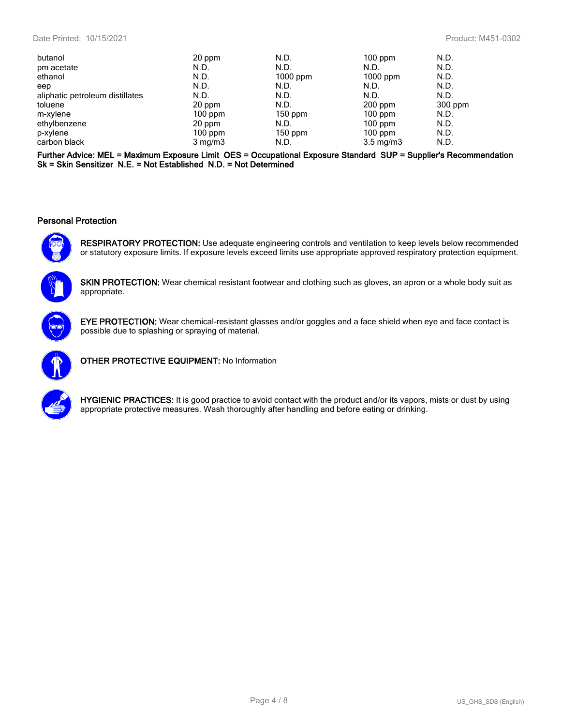| butanol                         | 20 ppm           | N.D.       | $100$ ppm          | N.D.    |
|---------------------------------|------------------|------------|--------------------|---------|
| pm acetate                      | N.D.             | N.D.       | N.D.               | N.D.    |
| ethanol                         | N.D.             | $1000$ ppm | $1000$ ppm         | N.D.    |
| eep                             | N.D.             | N.D.       | N.D.               | N.D.    |
| aliphatic petroleum distillates | N.D.             | N.D.       | N.D.               | N.D.    |
| toluene                         | 20 ppm           | N.D.       | $200$ ppm          | 300 ppm |
| m-xylene                        | $100$ ppm        | $150$ ppm  | $100$ ppm          | N.D.    |
| ethylbenzene                    | 20 ppm           | N.D.       | $100$ ppm          | N.D.    |
| p-xylene                        | $100$ ppm        | $150$ ppm  | $100$ ppm          | N.D.    |
| carbon black                    | $3 \text{ mg/m}$ | N.D.       | $3.5 \text{ mg/m}$ | N.D.    |

**Further Advice: MEL = Maximum Exposure Limit OES = Occupational Exposure Standard SUP = Supplier's Recommendation Sk = Skin Sensitizer N.E. = Not Established N.D. = Not Determined**

#### **Personal Protection**



**RESPIRATORY PROTECTION:** Use adequate engineering controls and ventilation to keep levels below recommended or statutory exposure limits. If exposure levels exceed limits use appropriate approved respiratory protection equipment.



**SKIN PROTECTION:** Wear chemical resistant footwear and clothing such as gloves, an apron or a whole body suit as appropriate.



**EYE PROTECTION:** Wear chemical-resistant glasses and/or goggles and a face shield when eye and face contact is possible due to splashing or spraying of material.



**OTHER PROTECTIVE EQUIPMENT:** No Information



**HYGIENIC PRACTICES:** It is good practice to avoid contact with the product and/or its vapors, mists or dust by using appropriate protective measures. Wash thoroughly after handling and before eating or drinking.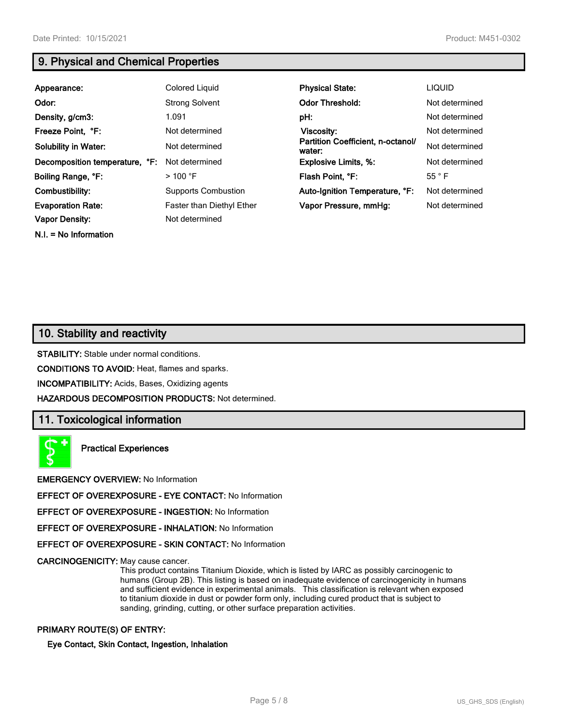**N.I. = No Information**

# **9. Physical and Chemical Properties**

| Appearance:                    | <b>Colored Liquid</b>      | <b>Physical State:</b>                      | <b>LIQUID</b>  |
|--------------------------------|----------------------------|---------------------------------------------|----------------|
| Odor:                          | <b>Strong Solvent</b>      | <b>Odor Threshold:</b>                      | Not determined |
| Density, g/cm3:                | 1.091                      | pH:                                         | Not determined |
| Freeze Point, °F:              | Not determined             | Viscosity:                                  | Not determined |
| <b>Solubility in Water:</b>    | Not determined             | Partition Coefficient, n-octanol/<br>water: | Not determined |
| Decomposition temperature, °F: | Not determined             | <b>Explosive Limits, %:</b>                 | Not determined |
| Boiling Range, °F:             | $>$ 100 °F                 | Flash Point, °F:                            | 55 °F          |
| Combustibility:                | <b>Supports Combustion</b> | Auto-Ignition Temperature, °F:              | Not determined |
| <b>Evaporation Rate:</b>       | Faster than Diethyl Ether  | Vapor Pressure, mmHg:                       | Not determined |
| <b>Vapor Density:</b>          | Not determined             |                                             |                |

# **10. Stability and reactivity**

**STABILITY:** Stable under normal conditions.

**CONDITIONS TO AVOID:** Heat, flames and sparks.

**INCOMPATIBILITY:** Acids, Bases, Oxidizing agents

**HAZARDOUS DECOMPOSITION PRODUCTS:** Not determined.

## **11. Toxicological information**

**Practical Experiences**

**EMERGENCY OVERVIEW:** No Information

**EFFECT OF OVEREXPOSURE - EYE CONTACT:** No Information

**EFFECT OF OVEREXPOSURE - INGESTION:** No Information

**EFFECT OF OVEREXPOSURE - INHALATION:** No Information

**EFFECT OF OVEREXPOSURE - SKIN CONTACT:** No Information

**CARCINOGENICITY:** May cause cancer.

This product contains Titanium Dioxide, which is listed by IARC as possibly carcinogenic to humans (Group 2B). This listing is based on inadequate evidence of carcinogenicity in humans and sufficient evidence in experimental animals. This classification is relevant when exposed to titanium dioxide in dust or powder form only, including cured product that is subject to sanding, grinding, cutting, or other surface preparation activities.

### **PRIMARY ROUTE(S) OF ENTRY:**

**Eye Contact, Skin Contact, Ingestion, Inhalation**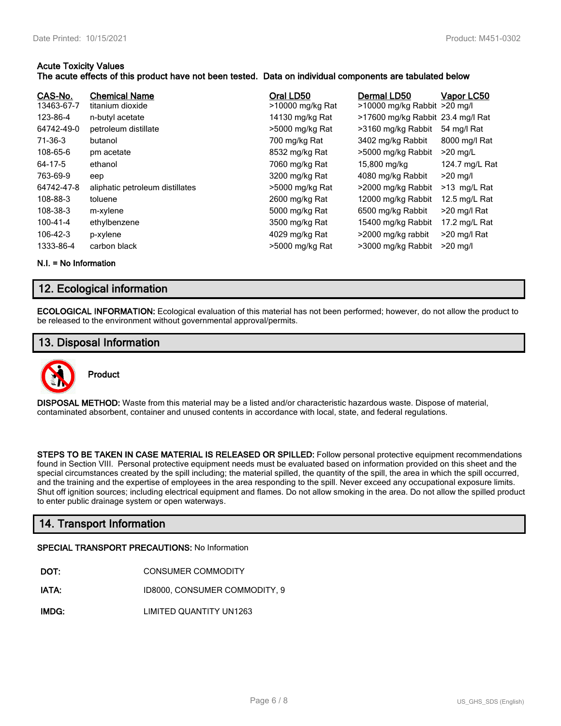## **Acute Toxicity Values**

## **The acute effects of this product have not been tested. Data on individual components are tabulated below**

| CAS-No.<br>13463-67-7<br>123-86-4<br>64742-49-0<br>71-36-3<br>108-65-6<br>64-17-5<br>763-69-9<br>64742-47-8<br>108-88-3<br>108-38-3 | <b>Chemical Name</b><br>titanium dioxide<br>n-butyl acetate<br>petroleum distillate<br>butanol<br>pm acetate<br>ethanol<br>eep<br>aliphatic petroleum distillates<br>toluene<br>m-xylene | Oral LD50<br>>10000 mg/kg Rat<br>14130 mg/kg Rat<br>>5000 mg/kg Rat<br>700 mg/kg Rat<br>8532 mg/kg Rat<br>7060 mg/kg Rat<br>3200 mg/kg Rat<br>>5000 mg/kg Rat<br>2600 mg/kg Rat<br>5000 mg/kg Rat | Dermal LD50<br>>10000 mg/kg Rabbit >20 mg/l<br>>17600 mg/kg Rabbit 23.4 mg/l Rat<br>>3160 mg/kg Rabbit<br>3402 mg/kg Rabbit<br>>5000 mg/kg Rabbit<br>15,800 mg/kg<br>4080 mg/kg Rabbit<br>>2000 mg/kg Rabbit<br>12000 mg/kg Rabbit<br>6500 mg/kg Rabbit | Vapor LC50<br>54 mg/l Rat<br>8000 mg/l Rat<br>$>20$ mg/L<br>124.7 mg/L Rat<br>$>20$ mg/l<br>>13 mg/L Rat<br>12.5 mg/L Rat<br>>20 mg/l Rat |
|-------------------------------------------------------------------------------------------------------------------------------------|------------------------------------------------------------------------------------------------------------------------------------------------------------------------------------------|---------------------------------------------------------------------------------------------------------------------------------------------------------------------------------------------------|---------------------------------------------------------------------------------------------------------------------------------------------------------------------------------------------------------------------------------------------------------|-------------------------------------------------------------------------------------------------------------------------------------------|
| 100-41-4                                                                                                                            | ethylbenzene                                                                                                                                                                             | 3500 mg/kg Rat                                                                                                                                                                                    | 15400 mg/kg Rabbit                                                                                                                                                                                                                                      | 17.2 mg/L Rat                                                                                                                             |
| 106-42-3                                                                                                                            | p-xylene                                                                                                                                                                                 | 4029 mg/kg Rat                                                                                                                                                                                    | >2000 mg/kg rabbit                                                                                                                                                                                                                                      | >20 mg/l Rat                                                                                                                              |
| 1333-86-4                                                                                                                           | carbon black                                                                                                                                                                             | >5000 mg/kg Rat                                                                                                                                                                                   | >3000 mg/kg Rabbit                                                                                                                                                                                                                                      | $>20$ mg/l                                                                                                                                |

**N.I. = No Information**

# **12. Ecological information**

**ECOLOGICAL INFORMATION:** Ecological evaluation of this material has not been performed; however, do not allow the product to be released to the environment without governmental approval/permits.

# **13. Disposal Information**



**DISPOSAL METHOD:** Waste from this material may be a listed and/or characteristic hazardous waste. Dispose of material, contaminated absorbent, container and unused contents in accordance with local, state, and federal regulations.

**STEPS TO BE TAKEN IN CASE MATERIAL IS RELEASED OR SPILLED:** Follow personal protective equipment recommendations found in Section VIII. Personal protective equipment needs must be evaluated based on information provided on this sheet and the special circumstances created by the spill including; the material spilled, the quantity of the spill, the area in which the spill occurred, and the training and the expertise of employees in the area responding to the spill. Never exceed any occupational exposure limits. Shut off ignition sources; including electrical equipment and flames. Do not allow smoking in the area. Do not allow the spilled product to enter public drainage system or open waterways.

# **14. Transport Information**

#### **SPECIAL TRANSPORT PRECAUTIONS:** No Information

- **IATA:** ID8000, CONSUMER COMMODITY, 9
- **IMDG:** LIMITED QUANTITY UN1263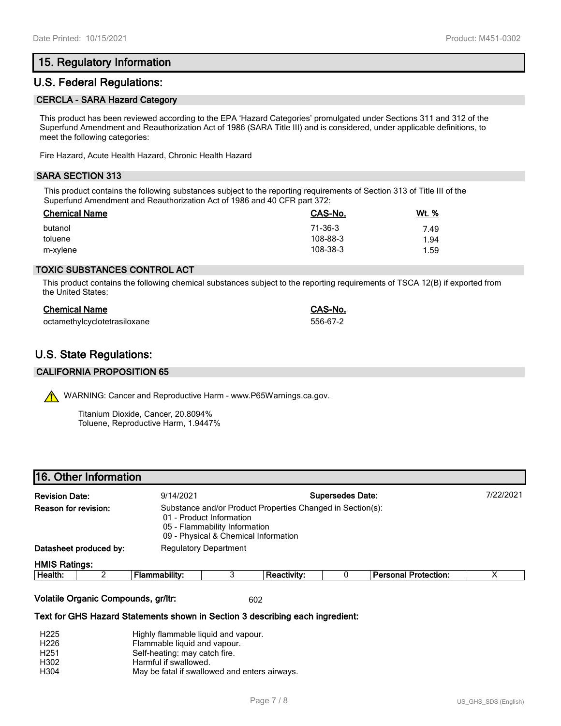# **15. Regulatory Information**

## **U.S. Federal Regulations:**

#### **CERCLA - SARA Hazard Category**

This product has been reviewed according to the EPA 'Hazard Categories' promulgated under Sections 311 and 312 of the Superfund Amendment and Reauthorization Act of 1986 (SARA Title III) and is considered, under applicable definitions, to meet the following categories:

Fire Hazard, Acute Health Hazard, Chronic Health Hazard

### **SARA SECTION 313**

This product contains the following substances subject to the reporting requirements of Section 313 of Title III of the Superfund Amendment and Reauthorization Act of 1986 and 40 CFR part 372:

| <b>Chemical Name</b> | CAS-No.  | Wt. % |
|----------------------|----------|-------|
| butanol              | 71-36-3  | 7.49  |
| toluene              | 108-88-3 | 1.94  |
| m-xylene             | 108-38-3 | 1.59  |

### **TOXIC SUBSTANCES CONTROL ACT**

This product contains the following chemical substances subject to the reporting requirements of TSCA 12(B) if exported from the United States:

| <b>Chemical Name</b>         | CAS-No.  |
|------------------------------|----------|
| octamethylcyclotetrasiloxane | 556-67-2 |

# **U.S. State Regulations:**

#### **CALIFORNIA PROPOSITION 65**

WARNING: Cancer and Reproductive Harm - www.P65Warnings.ca.gov.

Titanium Dioxide, Cancer, 20.8094% Toluene, Reproductive Harm, 1.9447%

| 16. Other Information |  |  |  |  |
|-----------------------|--|--|--|--|
|-----------------------|--|--|--|--|

| <b>Revision Date:</b> |                        | 9/14/2021                                                                                                                                                       |                              |                    | <b>Supersedes Date:</b> |                             | 7/22/2021 |
|-----------------------|------------------------|-----------------------------------------------------------------------------------------------------------------------------------------------------------------|------------------------------|--------------------|-------------------------|-----------------------------|-----------|
| Reason for revision:  |                        | Substance and/or Product Properties Changed in Section(s):<br>01 - Product Information<br>05 - Flammability Information<br>09 - Physical & Chemical Information |                              |                    |                         |                             |           |
|                       | Datasheet produced by: |                                                                                                                                                                 | <b>Regulatory Department</b> |                    |                         |                             |           |
| <b>HMIS Ratings:</b>  |                        |                                                                                                                                                                 |                              |                    |                         |                             |           |
| Health:               |                        | Flammability:                                                                                                                                                   |                              | <b>Reactivity:</b> |                         | <b>Personal Protection:</b> |           |

#### **Volatile Organic Compounds, gr/ltr:** 602

#### **Text for GHS Hazard Statements shown in Section 3 describing each ingredient:**

| H <sub>225</sub> | Highly flammable liquid and vapour.           |
|------------------|-----------------------------------------------|
| H <sub>226</sub> | Flammable liquid and vapour.                  |
| H <sub>251</sub> | Self-heating: may catch fire.                 |
| H <sub>302</sub> | Harmful if swallowed.                         |
| H304             | May be fatal if swallowed and enters airways. |